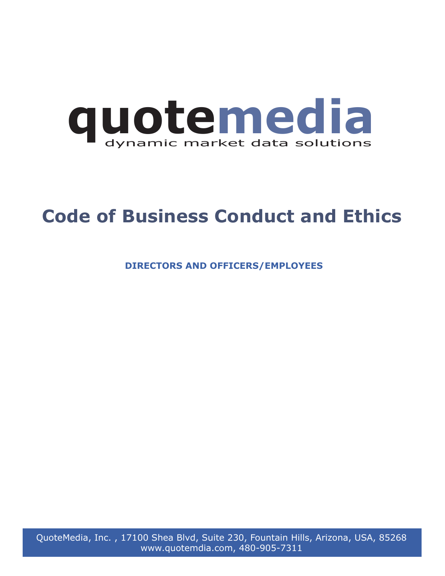

# **Code of Business Conduct and Ethics**

**DIRECTORS AND OFFICERS/EMPLOYEES** 

QuoteMedia, Inc. , 17100 Shea Blvd, Suite 230, Fountain Hills, Arizona, USA, 85268 www.quotemdia.com, 480-905-7311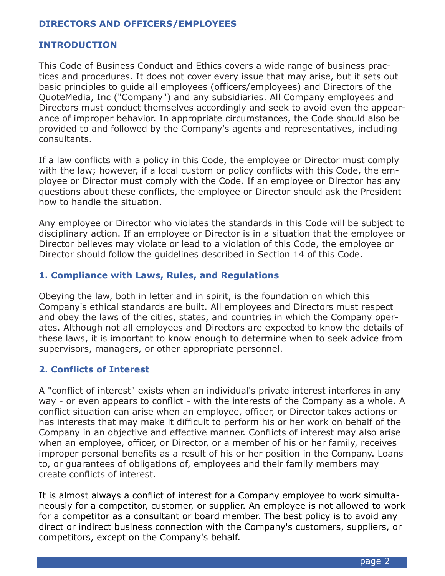#### **DIRECTORS AND OFFICERS/EMPLOYEES**

#### **INTRODUCTION**

This Code of Business Conduct and Ethics covers a wide range of business practices and procedures. It does not cover every issue that may arise, but it sets out basic principles to guide all employees (officers/employees) and Directors of the QuoteMedia, Inc ("Company") and any subsidiaries. All Company employees and Directors must conduct themselves accordingly and seek to avoid even the appearance of improper behavior. In appropriate circumstances, the Code should also be provided to and followed by the Company's agents and representatives, including consultants.

If a law conflicts with a policy in this Code, the employee or Director must comply with the law; however, if a local custom or policy conflicts with this Code, the employee or Director must comply with the Code. If an employee or Director has any questions about these conflicts, the employee or Director should ask the President how to handle the situation.

Any employee or Director who violates the standards in this Code will be subject to disciplinary action. If an employee or Director is in a situation that the employee or Director believes may violate or lead to a violation of this Code, the employee or Director should follow the guidelines described in Section 14 of this Code.

#### **1. Compliance with Laws, Rules, and Regulations**

Obeying the law, both in letter and in spirit, is the foundation on which this Company's ethical standards are built. All employees and Directors must respect and obey the laws of the cities, states, and countries in which the Company operates. Although not all employees and Directors are expected to know the details of these laws, it is important to know enough to determine when to seek advice from supervisors, managers, or other appropriate personnel.

#### **2. Conflicts of Interest**

A "conflict of interest" exists when an individual's private interest interferes in any way - or even appears to conflict - with the interests of the Company as a whole. A conflict situation can arise when an employee, officer, or Director takes actions or has interests that may make it difficult to perform his or her work on behalf of the Company in an objective and effective manner. Conflicts of interest may also arise when an employee, officer, or Director, or a member of his or her family, receives improper personal benefits as a result of his or her position in the Company. Loans to, or guarantees of obligations of, employees and their family members may create conflicts of interest.

It is almost always a conflict of interest for a Company employee to work simultaneously for a competitor, customer, or supplier. An employee is not allowed to work for a competitor as a consultant or board member. The best policy is to avoid any direct or indirect business connection with the Company's customers, suppliers, or competitors, except on the Company's behalf.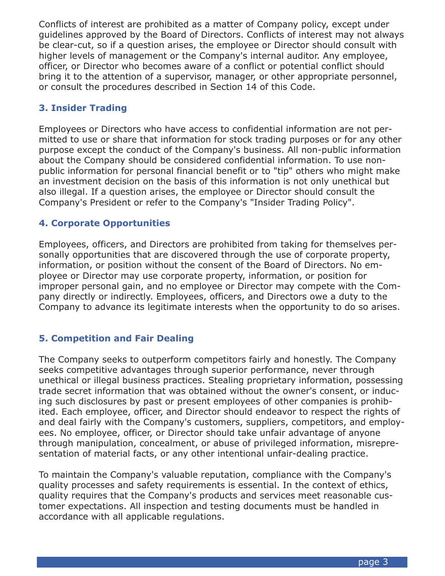Conflicts of interest are prohibited as a matter of Company policy, except under guidelines approved by the Board of Directors. Conflicts of interest may not always be clear-cut, so if a question arises, the employee or Director should consult with higher levels of management or the Company's internal auditor. Any employee, officer, or Director who becomes aware of a conflict or potential conflict should bring it to the attention of a supervisor, manager, or other appropriate personnel, or consult the procedures described in Section 14 of this Code.

# **3. Insider Trading**

Employees or Directors who have access to confidential information are not permitted to use or share that information for stock trading purposes or for any other purpose except the conduct of the Company's business. All non-public information about the Company should be considered confidential information. To use nonpublic information for personal financial benefit or to "tip" others who might make an investment decision on the basis of this information is not only unethical but also illegal. If a question arises, the employee or Director should consult the Company's President or refer to the Company's "Insider Trading Policy".

# **4. Corporate Opportunities**

Employees, officers, and Directors are prohibited from taking for themselves personally opportunities that are discovered through the use of corporate property, information, or position without the consent of the Board of Directors. No employee or Director may use corporate property, information, or position for improper personal gain, and no employee or Director may compete with the Company directly or indirectly. Employees, officers, and Directors owe a duty to the Company to advance its legitimate interests when the opportunity to do so arises.

# **5. Competition and Fair Dealing**

The Company seeks to outperform competitors fairly and honestly. The Company seeks competitive advantages through superior performance, never through unethical or illegal business practices. Stealing proprietary information, possessing trade secret information that was obtained without the owner's consent, or inducing such disclosures by past or present employees of other companies is prohibited. Each employee, officer, and Director should endeavor to respect the rights of and deal fairly with the Company's customers, suppliers, competitors, and employees. No employee, officer, or Director should take unfair advantage of anyone through manipulation, concealment, or abuse of privileged information, misrepresentation of material facts, or any other intentional unfair-dealing practice.

To maintain the Company's valuable reputation, compliance with the Company's quality processes and safety requirements is essential. In the context of ethics, quality requires that the Company's products and services meet reasonable customer expectations. All inspection and testing documents must be handled in accordance with all applicable regulations.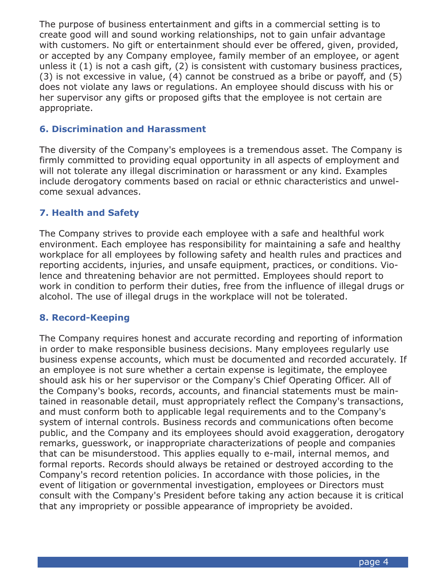The purpose of business entertainment and gifts in a commercial setting is to create good will and sound working relationships, not to gain unfair advantage with customers. No gift or entertainment should ever be offered, given, provided, or accepted by any Company employee, family member of an employee, or agent unless it (1) is not a cash gift, (2) is consistent with customary business practices, (3) is not excessive in value, (4) cannot be construed as a bribe or payoff, and (5) does not violate any laws or regulations. An employee should discuss with his or her supervisor any gifts or proposed gifts that the employee is not certain are appropriate.

#### **6. Discrimination and Harassment**

The diversity of the Company's employees is a tremendous asset. The Company is firmly committed to providing equal opportunity in all aspects of employment and will not tolerate any illegal discrimination or harassment or any kind. Examples include derogatory comments based on racial or ethnic characteristics and unwelcome sexual advances.

#### **7. Health and Safety**

The Company strives to provide each employee with a safe and healthful work environment. Each employee has responsibility for maintaining a safe and healthy workplace for all employees by following safety and health rules and practices and reporting accidents, injuries, and unsafe equipment, practices, or conditions. Violence and threatening behavior are not permitted. Employees should report to work in condition to perform their duties, free from the influence of illegal drugs or alcohol. The use of illegal drugs in the workplace will not be tolerated.

#### **8. Record-Keeping**

The Company requires honest and accurate recording and reporting of information in order to make responsible business decisions. Many employees regularly use business expense accounts, which must be documented and recorded accurately. If an employee is not sure whether a certain expense is legitimate, the employee should ask his or her supervisor or the Company's Chief Operating Officer. All of the Company's books, records, accounts, and financial statements must be maintained in reasonable detail, must appropriately reflect the Company's transactions, and must conform both to applicable legal requirements and to the Company's system of internal controls. Business records and communications often become public, and the Company and its employees should avoid exaggeration, derogatory remarks, guesswork, or inappropriate characterizations of people and companies that can be misunderstood. This applies equally to e-mail, internal memos, and formal reports. Records should always be retained or destroyed according to the Company's record retention policies. In accordance with those policies, in the event of litigation or governmental investigation, employees or Directors must consult with the Company's President before taking any action because it is critical that any impropriety or possible appearance of impropriety be avoided.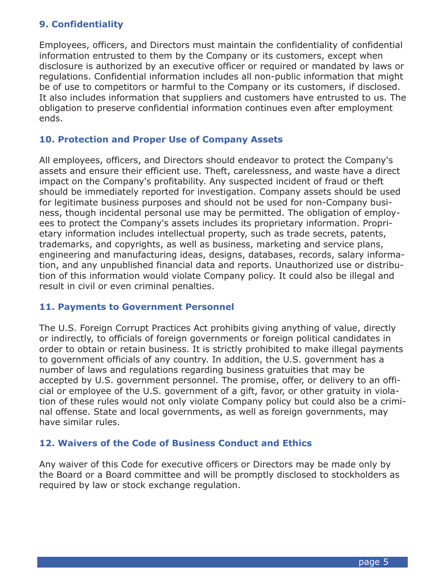# **9. Confidentiality**

Employees, officers, and Directors must maintain the confidentiality of confidential information entrusted to them by the Company or its customers, except when disclosure is authorized by an executive officer or required or mandated by laws or regulations. Confidential information includes all non-public information that might be of use to competitors or harmful to the Company or its customers, if disclosed. It also includes information that suppliers and customers have entrusted to us. The obligation to preserve confidential information continues even after employment ends.

### **10. Protection and Proper Use of Company Assets**

All employees, officers, and Directors should endeavor to protect the Company's assets and ensure their efficient use. Theft, carelessness, and waste have a direct impact on the Company's profitability. Any suspected incident of fraud or theft should be immediately reported for investigation. Company assets should be used for legitimate business purposes and should not be used for non-Company business, though incidental personal use may be permitted. The obligation of employees to protect the Company's assets includes its proprietary information. Proprietary information includes intellectual property, such as trade secrets, patents, trademarks, and copyrights, as well as business, marketing and service plans, engineering and manufacturing ideas, designs, databases, records, salary information, and any unpublished financial data and reports. Unauthorized use or distribution of this information would violate Company policy. It could also be illegal and result in civil or even criminal penalties.

#### **11. Payments to Government Personnel**

The U.S. Foreign Corrupt Practices Act prohibits giving anything of value, directly or indirectly, to officials of foreign governments or foreign political candidates in order to obtain or retain business. It is strictly prohibited to make illegal payments to government officials of any country. In addition, the U.S. government has a number of laws and regulations regarding business gratuities that may be accepted by U.S. government personnel. The promise, offer, or delivery to an official or employee of the U.S. government of a gift, favor, or other gratuity in violation of these rules would not only violate Company policy but could also be a criminal offense. State and local governments, as well as foreign governments, may have similar rules.

#### **12. Waivers of the Code of Business Conduct and Ethics**

Any waiver of this Code for executive officers or Directors may be made only by the Board or a Board committee and will be promptly disclosed to stockholders as required by law or stock exchange regulation.